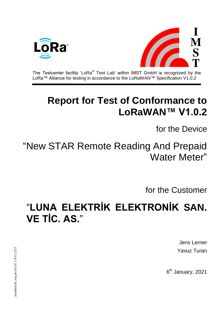



The Testcenter facility 'LoRa $^{\circledast}$  Test Lab' within IMST GmbH is recognized by the LoRa™ Alliance for testing in accordance to the LoRaWAN™ Specification V1.0.2

# **Report for Test of Conformance to LoRaWAN™ V1.0.2**

for the Device

"New STAR Remote Reading And Prepaid Water Meter"

for the Customer

"**LUNA ELEKTRİK ELEKTRONİK SAN. VE TİC. AS.**"

> Jens Lerner Yavuz Turan

6<sup>th</sup> January, 2021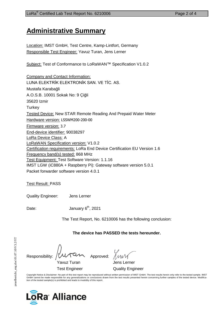## **Administrative Summary**

Location: IMST GmbH, Test Centre, Kamp-Lintfort, Germany Responsible Test Engineer: Yavuz Turan, Jens Lerner

Subject: Test of Conformance to LoRaWAN™ Specification V1.0.2

Company and Contact Information: LUNA ELEKTRİK ELEKTRONİK SAN. VE TİC. AS. Mustafa Karabağli A.O.S.B. 10001 Sokak No: 9 Çiğli 35620 Izmir **Turkey** Tested Device: New STAR Remote Reading And Prepaid Water Meter Hardware version: LSSWM200-200-00 Firmware version: 3.7 End-device identifier: 90038297 LoRa Device Class: A LoRaWAN Specification version: V1.0.2 Certification requirements: LoRa End Device Certification EU Version 1.6 Frequency band(s) tested: 868 MHz Test Equipment: Test Software Version: 1.1.16 IMST LGW (iC880A + Raspberry Pi): Gateway software version 5.0.1 Packet forwarder software version 4.0.1

Test Result: PASS

Quality Engineer: Jens Lerner

Date: January 6<sup>th</sup>, 2021

The Test Report, No. 6210006 has the following conclusion:

**The device has PASSED the tests hereunder.**

Responsibility: / WATUM Approved:

Test Engineer **Quality Engineer** 

Copyright Notice & Disclaimer: No part of this test report may be reproduced without written permission of IMST GmbH. The test results herein only refer to the tested sample. IMST<br>GmbH cannot be made responsible for any ge tion of the tested sample(s) is prohibited and leads to invalidity of this report.



Yavuz Turan Jens Lerner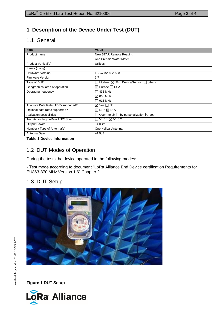#### **1 Description of the Device Under Test (DUT)**

### 1.1 General

| <b>Item</b>                         | Value                                                   |
|-------------------------------------|---------------------------------------------------------|
| Product name                        | New STAR Remote Reading                                 |
|                                     | And Prepaid Water Meter                                 |
| Product Vertical(s)                 | <b>Utilities</b>                                        |
| Series (if any)                     |                                                         |
| <b>Hardware Version</b>             | LSSWM200-200-00                                         |
| <b>Firmware Version</b>             | 3.7                                                     |
| Type of DUT                         | Module $\boxtimes$ End Device/Sensor $\Box$ others      |
| Geographical area of operation      | $\boxtimes$ Europe $\Box$ USA                           |
| Operating frequency                 | $\Box$ 433 MHz                                          |
|                                     | $\boxtimes$ 868 MHz                                     |
|                                     | $\Box$ 915 MHz                                          |
| Adaptive Data Rate (ADR) supported? | $\boxtimes$ Yes $\Box$ No                               |
| Optional data rates supported?      | $\boxtimes$ DR6 $\boxtimes$ DR7                         |
| Activation possibilities            | Over the air $\Box$ by personalization $\boxtimes$ both |
| Test According LoRaWAN™ Spec        | □ V1.0.1 ⊠ V1.0.2                                       |
| <b>Output Power</b>                 | 14 dBm                                                  |
| Number / Type of Antenna(s)         | One Helical Antenna                                     |
| Antenna Gain                        | $+1.5$ dBi                                              |

**Table 1 Device Information**

#### 1.2 DUT Modes of Operation

During the tests the device operated in the following modes:

- Test mode according to document ["LoRa](javascript:__doPostBack() Alliance End Device certification Requirements for EU863-870 MHz Version 1.6" Chapter 2.

#### 1.3 DUT Setup



**Figure 1 DUT Setup**